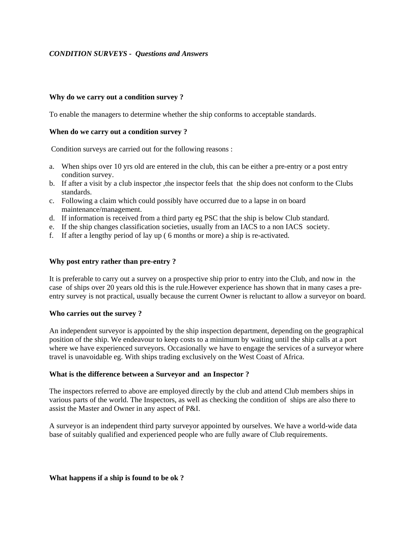# *CONDITION SURVEYS - Questions and Answers*

## **Why do we carry out a condition survey ?**

To enable the managers to determine whether the ship conforms to acceptable standards.

## **When do we carry out a condition survey ?**

Condition surveys are carried out for the following reasons :

- a. When ships over 10 yrs old are entered in the club, this can be either a pre-entry or a post entry condition survey.
- b. If after a visit by a club inspector ,the inspector feels that the ship does not conform to the Clubs standards.
- c. Following a claim which could possibly have occurred due to a lapse in on board maintenance/management.
- d. If information is received from a third party eg PSC that the ship is below Club standard.
- e. If the ship changes classification societies, usually from an IACS to a non IACS society.
- f. If after a lengthy period of lay up ( 6 months or more) a ship is re-activated.

## **Why post entry rather than pre-entry ?**

It is preferable to carry out a survey on a prospective ship prior to entry into the Club, and now in the case of ships over 20 years old this is the rule.However experience has shown that in many cases a preentry survey is not practical, usually because the current Owner is reluctant to allow a surveyor on board.

#### **Who carries out the survey ?**

An independent surveyor is appointed by the ship inspection department, depending on the geographical position of the ship. We endeavour to keep costs to a minimum by waiting until the ship calls at a port where we have experienced surveyors. Occasionally we have to engage the services of a surveyor where travel is unavoidable eg. With ships trading exclusively on the West Coast of Africa.

#### **What is the difference between a Surveyor and an Inspector ?**

The inspectors referred to above are employed directly by the club and attend Club members ships in various parts of the world. The Inspectors, as well as checking the condition of ships are also there to assist the Master and Owner in any aspect of P&I.

A surveyor is an independent third party surveyor appointed by ourselves. We have a world-wide data base of suitably qualified and experienced people who are fully aware of Club requirements.

**What happens if a ship is found to be ok ?**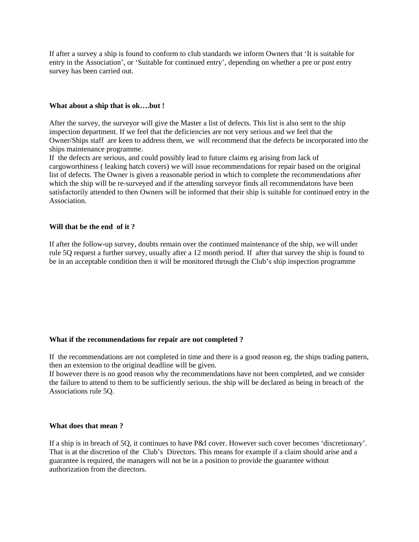If after a survey a ship is found to conform to club standards we inform Owners that 'It is suitable for entry in the Association', or 'Suitable for continued entry', depending on whether a pre or post entry survey has been carried out.

#### **What about a ship that is ok….but !**

After the survey, the surveyor will give the Master a list of defects. This list is also sent to the ship inspection department. If we feel that the deficiencies are not very serious and we feel that the Owner/Ships staff are keen to address them, we will recommend that the defects be incorporated into the ships maintenance programme.

If the defects are serious, and could possibly lead to future claims eg arising from lack of cargoworthiness ( leaking hatch covers) we will issue recommendations for repair based on the original list of defects. The Owner is given a reasonable period in which to complete the recommendations after which the ship will be re-surveyed and if the attending surveyor finds all recommendatons have been satisfactorily attended to then Owners will be informed that their ship is suitable for continued entry in the Association.

## **Will that be the end of it ?**

If after the follow-up survey, doubts remain over the continued maintenance of the ship, we will under rule 5Q request a further survey, usually after a 12 month period. If after that survey the ship is found to be in an acceptable condition then it will be monitored through the Club's ship inspection programme

#### **What if the recommendations for repair are not completed ?**

If the recommendations are not completed in time and there is a good reason eg. the ships trading pattern, then an extension to the original deadline will be given.

If however there is no good reason why the recommendations have not been completed, and we consider the failure to attend to them to be sufficiently serious. the ship will be declared as being in breach of the Associations rule 5Q.

#### **What does that mean ?**

If a ship is in breach of 5Q, it continues to have P&I cover. However such cover becomes 'discretionary'. That is at the discretion of the Club's Directors. This means for example if a claim should arise and a guarantee is required, the managers will not be in a position to provide the guarantee without authorization from the directors.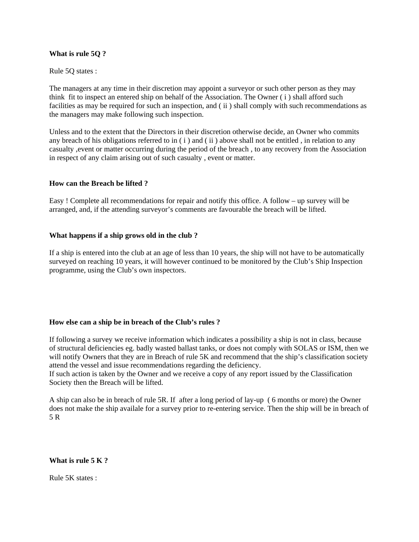## **What is rule 5Q ?**

#### Rule 5Q states :

The managers at any time in their discretion may appoint a surveyor or such other person as they may think fit to inspect an entered ship on behalf of the Association. The Owner ( i ) shall afford such facilities as may be required for such an inspection, and ( ii ) shall comply with such recommendations as the managers may make following such inspection.

Unless and to the extent that the Directors in their discretion otherwise decide, an Owner who commits any breach of his obligations referred to in ( i ) and ( ii ) above shall not be entitled , in relation to any casualty ,event or matter occurring during the period of the breach , to any recovery from the Association in respect of any claim arising out of such casualty , event or matter.

## **How can the Breach be lifted ?**

Easy ! Complete all recommendations for repair and notify this office. A follow – up survey will be arranged, and, if the attending surveyor's comments are favourable the breach will be lifted.

## **What happens if a ship grows old in the club ?**

If a ship is entered into the club at an age of less than 10 years, the ship will not have to be automatically surveyed on reaching 10 years, it will however continued to be monitored by the Club's Ship Inspection programme, using the Club's own inspectors.

## **How else can a ship be in breach of the Club's rules ?**

If following a survey we receive information which indicates a possibility a ship is not in class, because of structural deficiencies eg. badly wasted ballast tanks, or does not comply with SOLAS or ISM, then we will notify Owners that they are in Breach of rule 5K and recommend that the ship's classification society attend the vessel and issue recommendations regarding the deficiency.

If such action is taken by the Owner and we receive a copy of any report issued by the Classification Society then the Breach will be lifted.

A ship can also be in breach of rule 5R. If after a long period of lay-up ( 6 months or more) the Owner does not make the ship availale for a survey prior to re-entering service. Then the ship will be in breach of 5 R

#### **What is rule 5 K ?**

Rule 5K states :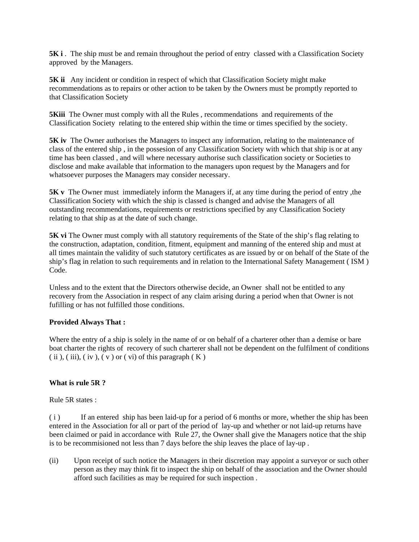**5K i** . The ship must be and remain throughout the period of entry classed with a Classification Society approved by the Managers.

**5K ii** Any incident or condition in respect of which that Classification Society might make recommendations as to repairs or other action to be taken by the Owners must be promptly reported to that Classification Society

**5Kiii** The Owner must comply with all the Rules, recommendations and requirements of the Classification Society relating to the entered ship within the time or times specified by the society.

**5K iv** The Owner authorises the Managers to inspect any information, relating to the maintenance of class of the entered ship , in the possesion of any Classification Society with which that ship is or at any time has been classed , and will where necessary authorise such classification society or Societies to disclose and make available that information to the managers upon request by the Managers and for whatsoever purposes the Managers may consider necessary.

**5K v** The Owner must immediately inform the Managers if, at any time during the period of entry, the Classification Society with which the ship is classed is changed and advise the Managers of all outstanding recommendations, requirements or restrictions specified by any Classification Society relating to that ship as at the date of such change.

**5K vi** The Owner must comply with all statutory requirements of the State of the ship's flag relating to the construction, adaptation, condition, fitment, equipment and manning of the entered ship and must at all times maintain the validity of such statutory certificates as are issued by or on behalf of the State of the ship's flag in relation to such requirements and in relation to the International Safety Management ( ISM ) Code.

Unless and to the extent that the Directors otherwise decide, an Owner shall not be entitled to any recovery from the Association in respect of any claim arising during a period when that Owner is not fufilling or has not fulfilled those conditions.

## **Provided Always That :**

Where the entry of a ship is solely in the name of or on behalf of a charterer other than a demise or bare boat charter the rights of recovery of such charterer shall not be dependent on the fulfilment of conditions  $(iii), (iii), (iv), (v)$  or  $(vi)$  of this paragraph  $(K)$ 

# **What is rule 5R ?**

Rule 5R states :

( i ) If an entered ship has been laid-up for a period of 6 months or more, whether the ship has been entered in the Association for all or part of the period of lay-up and whether or not laid-up returns have been claimed or paid in accordance with Rule 27, the Owner shall give the Managers notice that the ship is to be recommisioned not less than 7 days before the ship leaves the place of lay-up .

(ii) Upon receipt of such notice the Managers in their discretion may appoint a surveyor or such other person as they may think fit to inspect the ship on behalf of the association and the Owner should afford such facilities as may be required for such inspection .